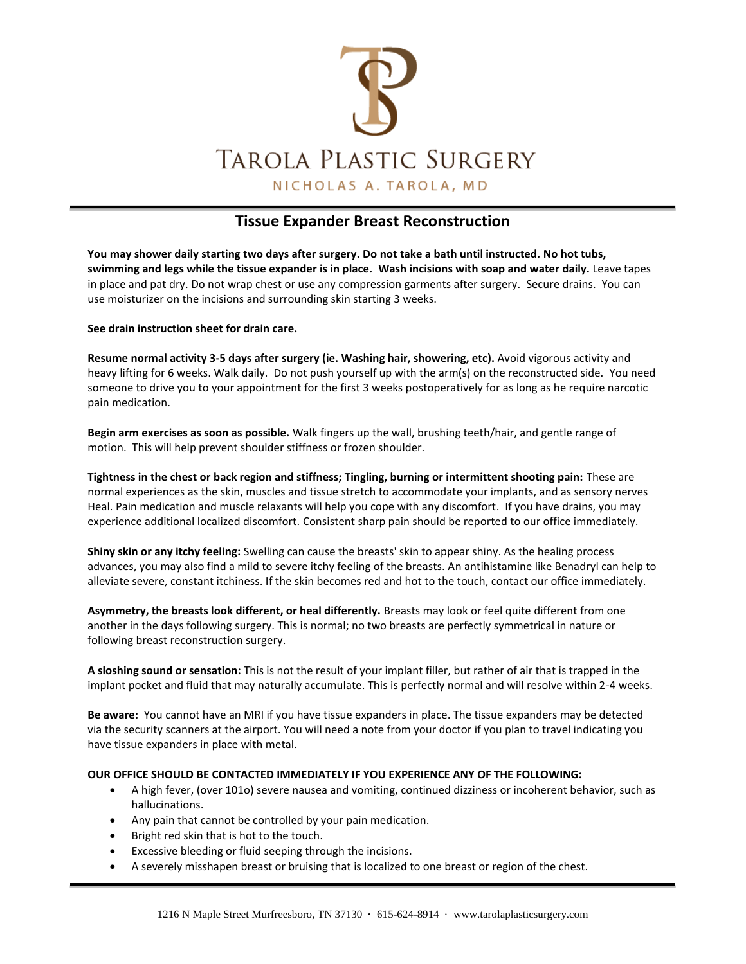

## **Tissue Expander Breast Reconstruction**

**You may shower daily starting two days after surgery. Do not take a bath until instructed. No hot tubs, swimming and legs while the tissue expander is in place. Wash incisions with soap and water daily.** Leave tapes in place and pat dry. Do not wrap chest or use any compression garments after surgery. Secure drains. You can use moisturizer on the incisions and surrounding skin starting 3 weeks.

**See drain instruction sheet for drain care.**

**Resume normal activity 3-5 days after surgery (ie. Washing hair, showering, etc).** Avoid vigorous activity and heavy lifting for 6 weeks. Walk daily. Do not push yourself up with the arm(s) on the reconstructed side. You need someone to drive you to your appointment for the first 3 weeks postoperatively for as long as he require narcotic pain medication.

**Begin arm exercises as soon as possible.** Walk fingers up the wall, brushing teeth/hair, and gentle range of motion. This will help prevent shoulder stiffness or frozen shoulder.

**Tightness in the chest or back region and stiffness; Tingling, burning or intermittent shooting pain:** These are normal experiences as the skin, muscles and tissue stretch to accommodate your implants, and as sensory nerves Heal. Pain medication and muscle relaxants will help you cope with any discomfort. If you have drains, you may experience additional localized discomfort. Consistent sharp pain should be reported to our office immediately.

**Shiny skin or any itchy feeling:** Swelling can cause the breasts' skin to appear shiny. As the healing process advances, you may also find a mild to severe itchy feeling of the breasts. An antihistamine like Benadryl can help to alleviate severe, constant itchiness. If the skin becomes red and hot to the touch, contact our office immediately.

**Asymmetry, the breasts look different, or heal differently.** Breasts may look or feel quite different from one another in the days following surgery. This is normal; no two breasts are perfectly symmetrical in nature or following breast reconstruction surgery.

**A sloshing sound or sensation:** This is not the result of your implant filler, but rather of air that is trapped in the implant pocket and fluid that may naturally accumulate. This is perfectly normal and will resolve within 2-4 weeks.

**Be aware:** You cannot have an MRI if you have tissue expanders in place. The tissue expanders may be detected via the security scanners at the airport. You will need a note from your doctor if you plan to travel indicating you have tissue expanders in place with metal.

#### **OUR OFFICE SHOULD BE CONTACTED IMMEDIATELY IF YOU EXPERIENCE ANY OF THE FOLLOWING:**

- A high fever, (over 101o) severe nausea and vomiting, continued dizziness or incoherent behavior, such as hallucinations.
- Any pain that cannot be controlled by your pain medication.
- Bright red skin that is hot to the touch.
- Excessive bleeding or fluid seeping through the incisions.
- A severely misshapen breast or bruising that is localized to one breast or region of the chest.